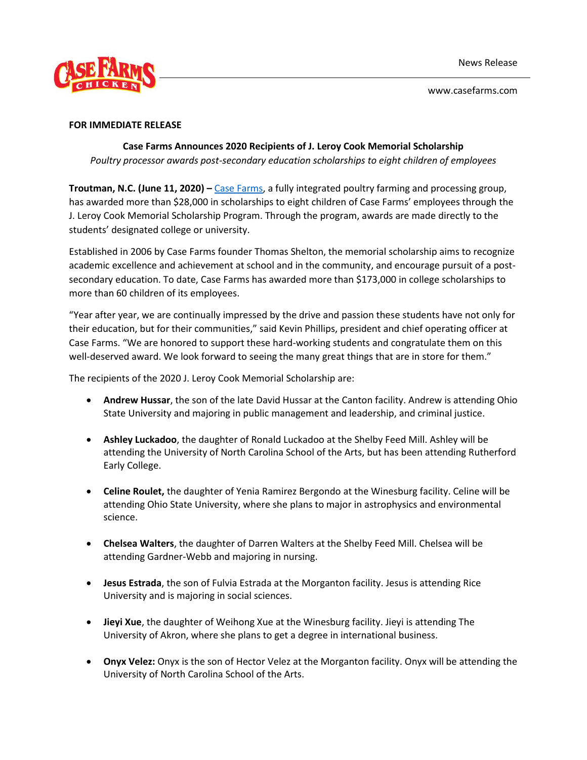

www.casefarms.com

## **FOR IMMEDIATE RELEASE**

## **Case Farms Announces 2020 Recipients of J. Leroy Cook Memorial Scholarship**

*Poultry processor awards post-secondary education scholarships to eight children of employees* 

**Troutman, N.C. (June 11, 2020) –** [Case Farms,](https://www.casefarms.com/) a fully integrated poultry farming and processing group, has awarded more than \$28,000 in scholarships to eight children of Case Farms' employees through the J. Leroy Cook Memorial Scholarship Program. Through the program, awards are made directly to the students' designated college or university.

Established in 2006 by Case Farms founder Thomas Shelton, the memorial scholarship aims to recognize academic excellence and achievement at school and in the community, and encourage pursuit of a postsecondary education. To date, Case Farms has awarded more than \$173,000 in college scholarships to more than 60 children of its employees.

"Year after year, we are continually impressed by the drive and passion these students have not only for their education, but for their communities," said Kevin Phillips, president and chief operating officer at Case Farms. "We are honored to support these hard-working students and congratulate them on this well-deserved award. We look forward to seeing the many great things that are in store for them."

The recipients of the 2020 J. Leroy Cook Memorial Scholarship are:

- **Andrew Hussar**, the son of the late David Hussar at the Canton facility. Andrew is attending Ohio State University and majoring in public management and leadership, and criminal justice.
- **Ashley Luckadoo**, the daughter of Ronald Luckadoo at the Shelby Feed Mill. Ashley will be attending the University of North Carolina School of the Arts, but has been attending Rutherford Early College.
- **Celine Roulet,** the daughter of Yenia Ramirez Bergondo at the Winesburg facility. Celine will be attending Ohio State University, where she plans to major in astrophysics and environmental science.
- **Chelsea Walters**, the daughter of Darren Walters at the Shelby Feed Mill. Chelsea will be attending Gardner-Webb and majoring in nursing.
- **Jesus Estrada**, the son of Fulvia Estrada at the Morganton facility. Jesus is attending Rice University and is majoring in social sciences.
- **Jieyi Xue**, the daughter of Weihong Xue at the Winesburg facility. Jieyi is attending The University of Akron, where she plans to get a degree in international business.
- **Onyx Velez:** Onyx is the son of Hector Velez at the Morganton facility. Onyx will be attending the University of North Carolina School of the Arts.